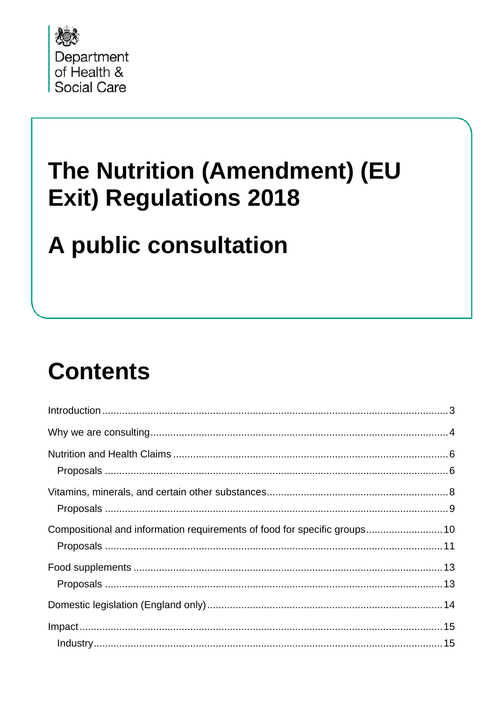

### The Nutrition (Amendment) (EU **Exit) Regulations 2018**

# A public consultation

# **Contents**

| Compositional and information requirements of food for specific groups 10 |  |
|---------------------------------------------------------------------------|--|
|                                                                           |  |
|                                                                           |  |
|                                                                           |  |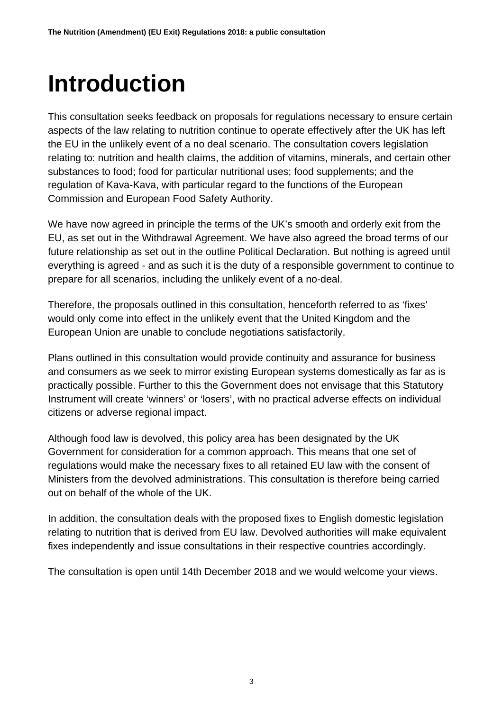## <span id="page-2-0"></span>**Introduction**

This consultation seeks feedback on proposals for regulations necessary to ensure certain aspects of the law relating to nutrition continue to operate effectively after the UK has left the EU in the unlikely event of a no deal scenario. The consultation covers legislation relating to: nutrition and health claims, the addition of vitamins, minerals, and certain other substances to food; food for particular nutritional uses; food supplements; and the regulation of Kava-Kava, with particular regard to the functions of the European Commission and European Food Safety Authority.

We have now agreed in principle the terms of the UK's smooth and orderly exit from the EU, as set out in the Withdrawal Agreement. We have also agreed the broad terms of our future relationship as set out in the outline Political Declaration. But nothing is agreed until everything is agreed - and as such it is the duty of a responsible government to continue to prepare for all scenarios, including the unlikely event of a no-deal.

Therefore, the proposals outlined in this consultation, henceforth referred to as 'fixes' would only come into effect in the unlikely event that the United Kingdom and the European Union are unable to conclude negotiations satisfactorily.

Plans outlined in this consultation would provide continuity and assurance for business and consumers as we seek to mirror existing European systems domestically as far as is practically possible. Further to this the Government does not envisage that this Statutory Instrument will create 'winners' or 'losers', with no practical adverse effects on individual citizens or adverse regional impact.

Although food law is devolved, this policy area has been designated by the UK Government for consideration for a common approach. This means that one set of regulations would make the necessary fixes to all retained EU law with the consent of Ministers from the devolved administrations. This consultation is therefore being carried out on behalf of the whole of the UK.

In addition, the consultation deals with the proposed fixes to English domestic legislation relating to nutrition that is derived from EU law. Devolved authorities will make equivalent fixes independently and issue consultations in their respective countries accordingly.

The consultation is open until 14th December 2018 and we would welcome your views.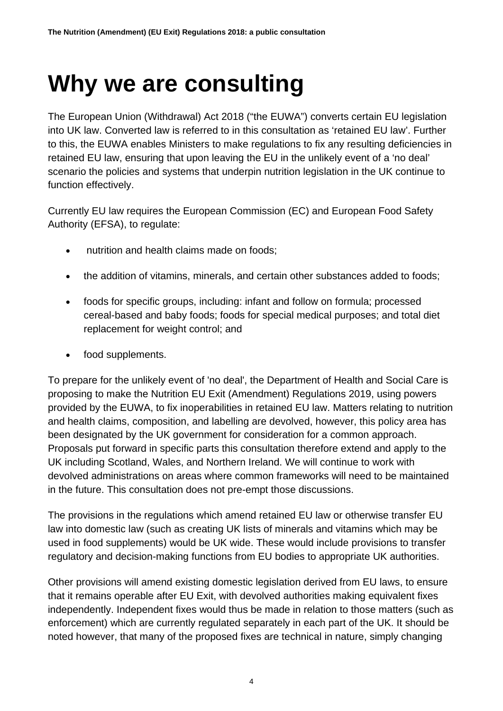### <span id="page-3-0"></span>**Why we are consulting**

The European Union (Withdrawal) Act 2018 ("the EUWA") converts certain EU legislation into UK law. Converted law is referred to in this consultation as 'retained EU law'. Further to this, the EUWA enables Ministers to make regulations to fix any resulting deficiencies in retained EU law, ensuring that upon leaving the EU in the unlikely event of a 'no deal' scenario the policies and systems that underpin nutrition legislation in the UK continue to function effectively.

Currently EU law requires the European Commission (EC) and European Food Safety Authority (EFSA), to regulate:

- nutrition and health claims made on foods;
- the addition of vitamins, minerals, and certain other substances added to foods;
- foods for specific groups, including: infant and follow on formula; processed cereal-based and baby foods; foods for special medical purposes; and total diet replacement for weight control; and
- food supplements.

To prepare for the unlikely event of 'no deal', the Department of Health and Social Care is proposing to make the Nutrition EU Exit (Amendment) Regulations 2019, using powers provided by the EUWA, to fix inoperabilities in retained EU law. Matters relating to nutrition and health claims, composition, and labelling are devolved, however, this policy area has been designated by the UK government for consideration for a common approach. Proposals put forward in specific parts this consultation therefore extend and apply to the UK including Scotland, Wales, and Northern Ireland. We will continue to work with devolved administrations on areas where common frameworks will need to be maintained in the future. This consultation does not pre-empt those discussions.

The provisions in the regulations which amend retained EU law or otherwise transfer EU law into domestic law (such as creating UK lists of minerals and vitamins which may be used in food supplements) would be UK wide. These would include provisions to transfer regulatory and decision-making functions from EU bodies to appropriate UK authorities.

Other provisions will amend existing domestic legislation derived from EU laws, to ensure that it remains operable after EU Exit, with devolved authorities making equivalent fixes independently. Independent fixes would thus be made in relation to those matters (such as enforcement) which are currently regulated separately in each part of the UK. It should be noted however, that many of the proposed fixes are technical in nature, simply changing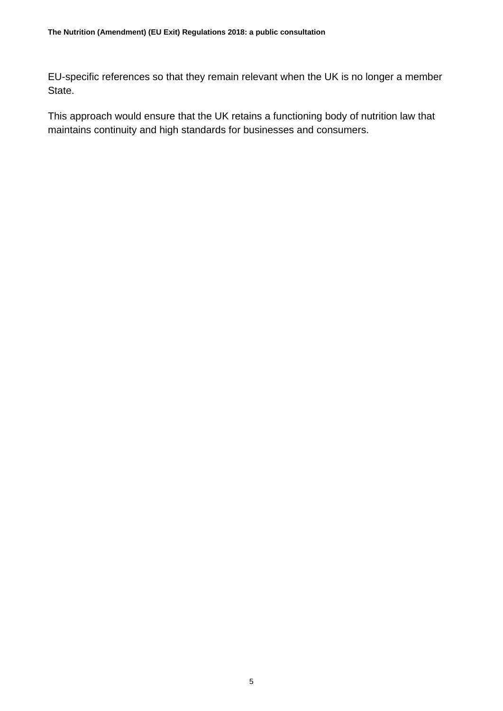EU-specific references so that they remain relevant when the UK is no longer a member State.

This approach would ensure that the UK retains a functioning body of nutrition law that maintains continuity and high standards for businesses and consumers.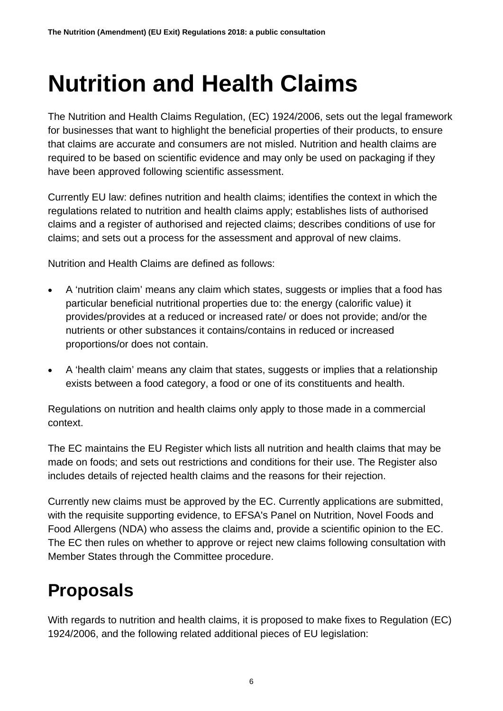### <span id="page-5-0"></span>**Nutrition and Health Claims**

The Nutrition and Health Claims Regulation, (EC) 1924/2006, sets out the legal framework for businesses that want to highlight the beneficial properties of their products, to ensure that claims are accurate and consumers are not misled. Nutrition and health claims are required to be based on scientific evidence and may only be used on packaging if they have been approved following scientific assessment.

Currently EU law: defines nutrition and health claims; identifies the context in which the regulations related to nutrition and health claims apply; establishes lists of authorised claims and a register of authorised and rejected claims; describes conditions of use for claims; and sets out a process for the assessment and approval of new claims.

Nutrition and Health Claims are defined as follows:

- A 'nutrition claim' means any claim which states, suggests or implies that a food has particular beneficial nutritional properties due to: the energy (calorific value) it provides/provides at a reduced or increased rate/ or does not provide; and/or the nutrients or other substances it contains/contains in reduced or increased proportions/or does not contain.
- A 'health claim' means any claim that states, suggests or implies that a relationship exists between a food category, a food or one of its constituents and health.

Regulations on nutrition and health claims only apply to those made in a commercial context.

The EC maintains the EU Register which lists all nutrition and health claims that may be made on foods; and sets out restrictions and conditions for their use. The Register also includes details of rejected health claims and the reasons for their rejection.

Currently new claims must be approved by the EC. Currently applications are submitted, with the requisite supporting evidence, to EFSA's Panel on Nutrition, Novel Foods and Food Allergens (NDA) who assess the claims and, provide a scientific opinion to the EC. The EC then rules on whether to approve or reject new claims following consultation with Member States through the Committee procedure.

#### <span id="page-5-1"></span>**Proposals**

With regards to nutrition and health claims, it is proposed to make fixes to Regulation (EC) 1924/2006, and the following related additional pieces of EU legislation: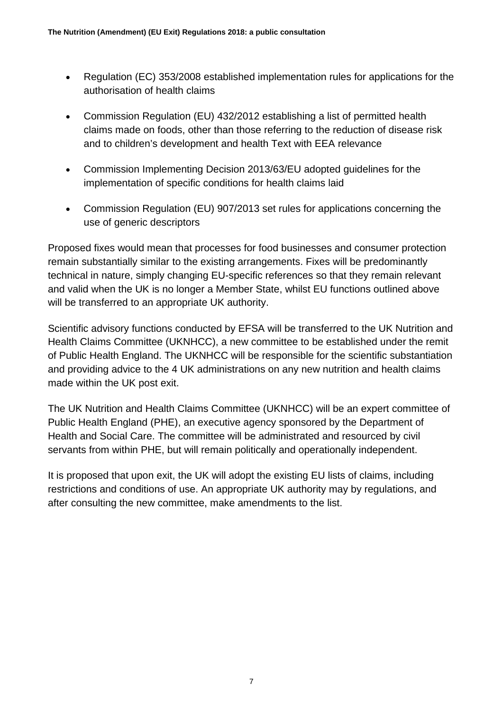- Regulation (EC) 353/2008 established implementation rules for applications for the authorisation of health claims
- Commission Regulation (EU) 432/2012 establishing a list of permitted health claims made on foods, other than those referring to the reduction of disease risk and to children's development and health Text with EEA relevance
- Commission Implementing Decision 2013/63/EU adopted guidelines for the implementation of specific conditions for health claims laid
- Commission Regulation (EU) 907/2013 set rules for applications concerning the use of generic descriptors

Proposed fixes would mean that processes for food businesses and consumer protection remain substantially similar to the existing arrangements. Fixes will be predominantly technical in nature, simply changing EU-specific references so that they remain relevant and valid when the UK is no longer a Member State, whilst EU functions outlined above will be transferred to an appropriate UK authority.

Scientific advisory functions conducted by EFSA will be transferred to the UK Nutrition and Health Claims Committee (UKNHCC), a new committee to be established under the remit of Public Health England. The UKNHCC will be responsible for the scientific substantiation and providing advice to the 4 UK administrations on any new nutrition and health claims made within the UK post exit.

The UK Nutrition and Health Claims Committee (UKNHCC) will be an expert committee of Public Health England (PHE), an executive agency sponsored by the Department of Health and Social Care. The committee will be administrated and resourced by civil servants from within PHE, but will remain politically and operationally independent.

It is proposed that upon exit, the UK will adopt the existing EU lists of claims, including restrictions and conditions of use. An appropriate UK authority may by regulations, and after consulting the new committee, make amendments to the list.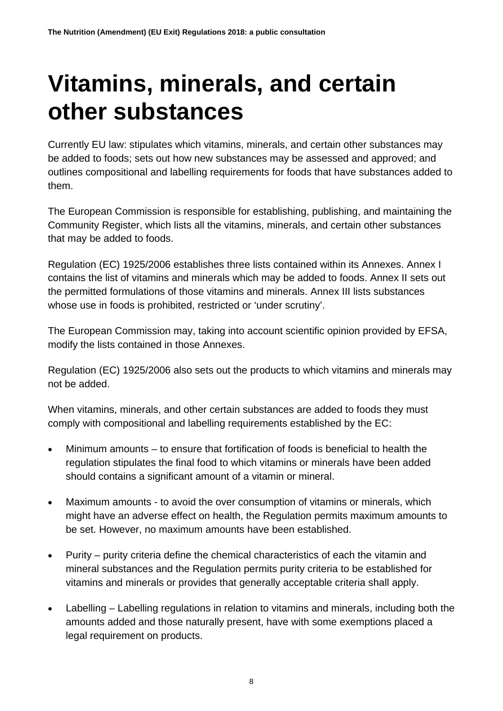### <span id="page-7-0"></span>**Vitamins, minerals, and certain other substances**

Currently EU law: stipulates which vitamins, minerals, and certain other substances may be added to foods; sets out how new substances may be assessed and approved; and outlines compositional and labelling requirements for foods that have substances added to them.

The European Commission is responsible for establishing, publishing, and maintaining the Community Register, which lists all the vitamins, minerals, and certain other substances that may be added to foods.

Regulation (EC) 1925/2006 establishes three lists contained within its Annexes. Annex I contains the list of vitamins and minerals which may be added to foods. Annex II sets out the permitted formulations of those vitamins and minerals. Annex III lists substances whose use in foods is prohibited, restricted or 'under scrutiny'.

The European Commission may, taking into account scientific opinion provided by EFSA, modify the lists contained in those Annexes.

Regulation (EC) 1925/2006 also sets out the products to which vitamins and minerals may not be added.

When vitamins, minerals, and other certain substances are added to foods they must comply with compositional and labelling requirements established by the EC:

- Minimum amounts to ensure that fortification of foods is beneficial to health the regulation stipulates the final food to which vitamins or minerals have been added should contains a significant amount of a vitamin or mineral.
- Maximum amounts to avoid the over consumption of vitamins or minerals, which might have an adverse effect on health, the Regulation permits maximum amounts to be set. However, no maximum amounts have been established.
- Purity purity criteria define the chemical characteristics of each the vitamin and mineral substances and the Regulation permits purity criteria to be established for vitamins and minerals or provides that generally acceptable criteria shall apply.
- Labelling Labelling regulations in relation to vitamins and minerals, including both the amounts added and those naturally present, have with some exemptions placed a legal requirement on products.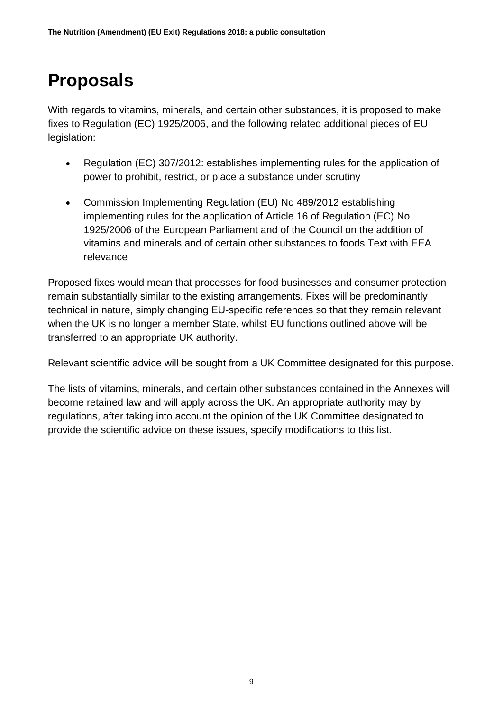#### <span id="page-8-0"></span>**Proposals**

With regards to vitamins, minerals, and certain other substances, it is proposed to make fixes to Regulation (EC) 1925/2006, and the following related additional pieces of EU legislation:

- Regulation (EC) 307/2012: establishes implementing rules for the application of power to prohibit, restrict, or place a substance under scrutiny
- Commission Implementing Regulation (EU) No 489/2012 establishing implementing rules for the application of Article 16 of Regulation (EC) No 1925/2006 of the European Parliament and of the Council on the addition of vitamins and minerals and of certain other substances to foods Text with EEA relevance

Proposed fixes would mean that processes for food businesses and consumer protection remain substantially similar to the existing arrangements. Fixes will be predominantly technical in nature, simply changing EU-specific references so that they remain relevant when the UK is no longer a member State, whilst EU functions outlined above will be transferred to an appropriate UK authority.

Relevant scientific advice will be sought from a UK Committee designated for this purpose.

The lists of vitamins, minerals, and certain other substances contained in the Annexes will become retained law and will apply across the UK. An appropriate authority may by regulations, after taking into account the opinion of the UK Committee designated to provide the scientific advice on these issues, specify modifications to this list.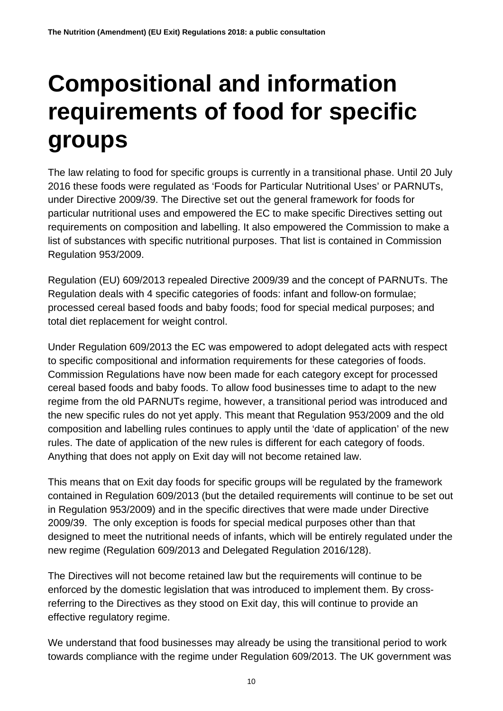# <span id="page-9-0"></span>**Compositional and information requirements of food for specific groups**

The law relating to food for specific groups is currently in a transitional phase. Until 20 July 2016 these foods were regulated as 'Foods for Particular Nutritional Uses' or PARNUTs, under Directive 2009/39. The Directive set out the general framework for foods for particular nutritional uses and empowered the EC to make specific Directives setting out requirements on composition and labelling. It also empowered the Commission to make a list of substances with specific nutritional purposes. That list is contained in Commission Regulation 953/2009.

Regulation (EU) 609/2013 repealed Directive 2009/39 and the concept of PARNUTs. The Regulation deals with 4 specific categories of foods: infant and follow-on formulae; processed cereal based foods and baby foods; food for special medical purposes; and total diet replacement for weight control.

Under Regulation 609/2013 the EC was empowered to adopt delegated acts with respect to specific compositional and information requirements for these categories of foods. Commission Regulations have now been made for each category except for processed cereal based foods and baby foods. To allow food businesses time to adapt to the new regime from the old PARNUTs regime, however, a transitional period was introduced and the new specific rules do not yet apply. This meant that Regulation 953/2009 and the old composition and labelling rules continues to apply until the 'date of application' of the new rules. The date of application of the new rules is different for each category of foods. Anything that does not apply on Exit day will not become retained law.

This means that on Exit day foods for specific groups will be regulated by the framework contained in Regulation 609/2013 (but the detailed requirements will continue to be set out in Regulation 953/2009) and in the specific directives that were made under Directive 2009/39. The only exception is foods for special medical purposes other than that designed to meet the nutritional needs of infants, which will be entirely regulated under the new regime (Regulation 609/2013 and Delegated Regulation 2016/128).

The Directives will not become retained law but the requirements will continue to be enforced by the domestic legislation that was introduced to implement them. By crossreferring to the Directives as they stood on Exit day, this will continue to provide an effective regulatory regime.

We understand that food businesses may already be using the transitional period to work towards compliance with the regime under Regulation 609/2013. The UK government was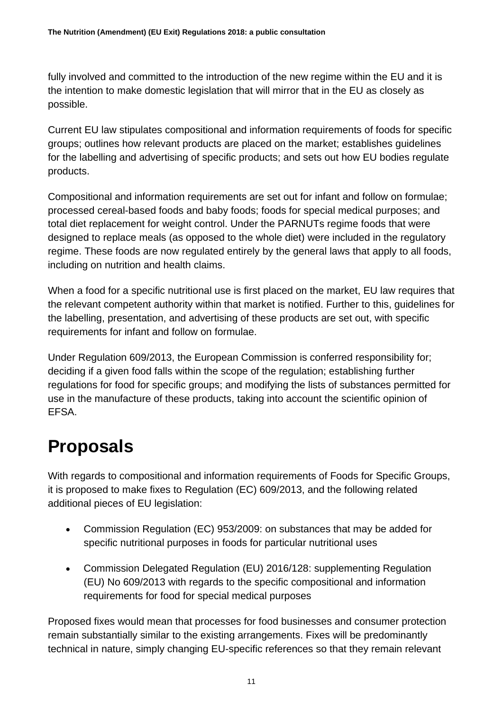fully involved and committed to the introduction of the new regime within the EU and it is the intention to make domestic legislation that will mirror that in the EU as closely as possible.

Current EU law stipulates compositional and information requirements of foods for specific groups; outlines how relevant products are placed on the market; establishes guidelines for the labelling and advertising of specific products; and sets out how EU bodies regulate products.

Compositional and information requirements are set out for infant and follow on formulae; processed cereal-based foods and baby foods; foods for special medical purposes; and total diet replacement for weight control. Under the PARNUTs regime foods that were designed to replace meals (as opposed to the whole diet) were included in the regulatory regime. These foods are now regulated entirely by the general laws that apply to all foods, including on nutrition and health claims.

When a food for a specific nutritional use is first placed on the market, EU law requires that the relevant competent authority within that market is notified. Further to this, guidelines for the labelling, presentation, and advertising of these products are set out, with specific requirements for infant and follow on formulae.

Under Regulation 609/2013, the European Commission is conferred responsibility for; deciding if a given food falls within the scope of the regulation; establishing further regulations for food for specific groups; and modifying the lists of substances permitted for use in the manufacture of these products, taking into account the scientific opinion of EFSA.

#### <span id="page-10-0"></span>**Proposals**

With regards to compositional and information requirements of Foods for Specific Groups, it is proposed to make fixes to Regulation (EC) 609/2013, and the following related additional pieces of EU legislation:

- Commission Regulation (EC) 953/2009: on substances that may be added for specific nutritional purposes in foods for particular nutritional uses
- Commission Delegated Regulation (EU) 2016/128: supplementing Regulation (EU) No 609/2013 with regards to the specific compositional and information requirements for food for special medical purposes

Proposed fixes would mean that processes for food businesses and consumer protection remain substantially similar to the existing arrangements. Fixes will be predominantly technical in nature, simply changing EU-specific references so that they remain relevant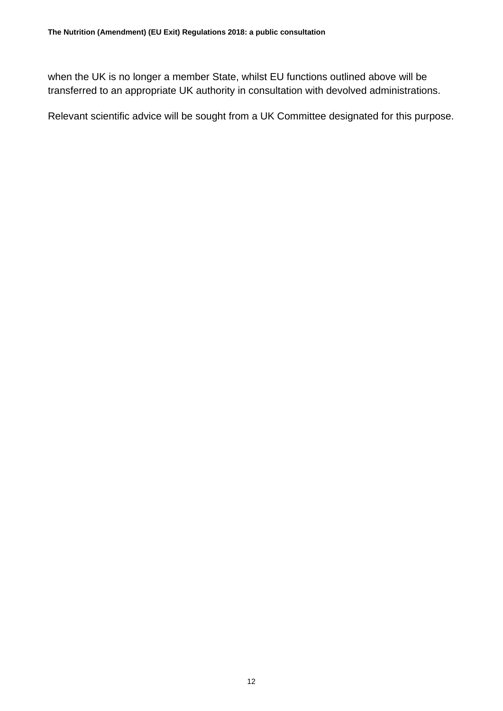when the UK is no longer a member State, whilst EU functions outlined above will be transferred to an appropriate UK authority in consultation with devolved administrations.

Relevant scientific advice will be sought from a UK Committee designated for this purpose.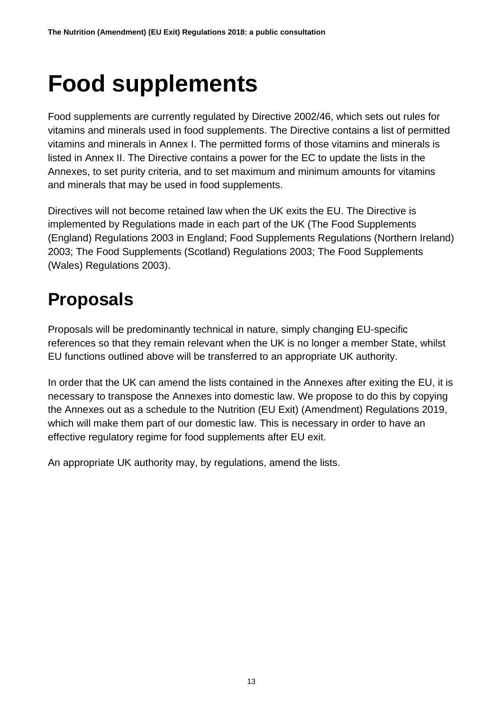# <span id="page-12-0"></span>**Food supplements**

Food supplements are currently regulated by Directive 2002/46, which sets out rules for vitamins and minerals used in food supplements. The Directive contains a list of permitted vitamins and minerals in Annex I. The permitted forms of those vitamins and minerals is listed in Annex II. The Directive contains a power for the EC to update the lists in the Annexes, to set purity criteria, and to set maximum and minimum amounts for vitamins and minerals that may be used in food supplements.

Directives will not become retained law when the UK exits the EU. The Directive is implemented by Regulations made in each part of the UK (The Food Supplements (England) Regulations 2003 in England; Food Supplements Regulations (Northern Ireland) 2003; The Food Supplements (Scotland) Regulations 2003; The Food Supplements (Wales) Regulations 2003).

#### <span id="page-12-1"></span>**Proposals**

Proposals will be predominantly technical in nature, simply changing EU-specific references so that they remain relevant when the UK is no longer a member State, whilst EU functions outlined above will be transferred to an appropriate UK authority.

In order that the UK can amend the lists contained in the Annexes after exiting the EU, it is necessary to transpose the Annexes into domestic law. We propose to do this by copying the Annexes out as a schedule to the Nutrition (EU Exit) (Amendment) Regulations 2019, which will make them part of our domestic law. This is necessary in order to have an effective regulatory regime for food supplements after EU exit.

An appropriate UK authority may, by regulations, amend the lists.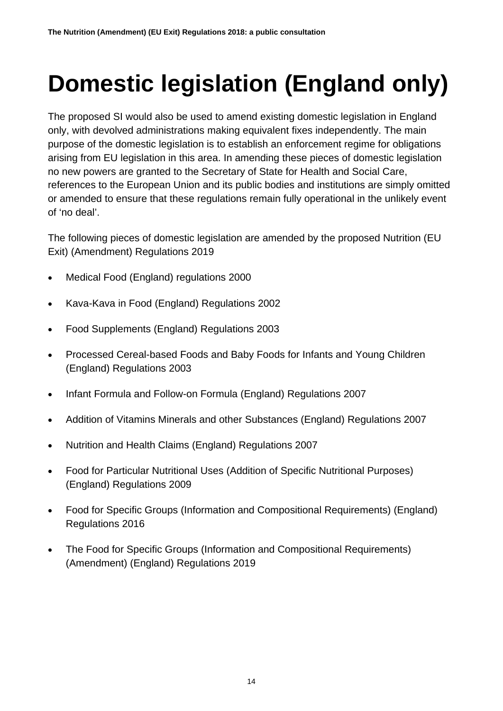# <span id="page-13-0"></span>**Domestic legislation (England only)**

The proposed SI would also be used to amend existing domestic legislation in England only, with devolved administrations making equivalent fixes independently. The main purpose of the domestic legislation is to establish an enforcement regime for obligations arising from EU legislation in this area. In amending these pieces of domestic legislation no new powers are granted to the Secretary of State for Health and Social Care, references to the European Union and its public bodies and institutions are simply omitted or amended to ensure that these regulations remain fully operational in the unlikely event of 'no deal'.

The following pieces of domestic legislation are amended by the proposed Nutrition (EU Exit) (Amendment) Regulations 2019

- Medical Food (England) regulations 2000
- Kava-Kava in Food (England) Regulations 2002
- Food Supplements (England) Regulations 2003
- Processed Cereal-based Foods and Baby Foods for Infants and Young Children (England) Regulations 2003
- Infant Formula and Follow-on Formula (England) Regulations 2007
- Addition of Vitamins Minerals and other Substances (England) Regulations 2007
- Nutrition and Health Claims (England) Regulations 2007
- Food for Particular Nutritional Uses (Addition of Specific Nutritional Purposes) (England) Regulations 2009
- Food for Specific Groups (Information and Compositional Requirements) (England) Regulations 2016
- The Food for Specific Groups (Information and Compositional Requirements) (Amendment) (England) Regulations 2019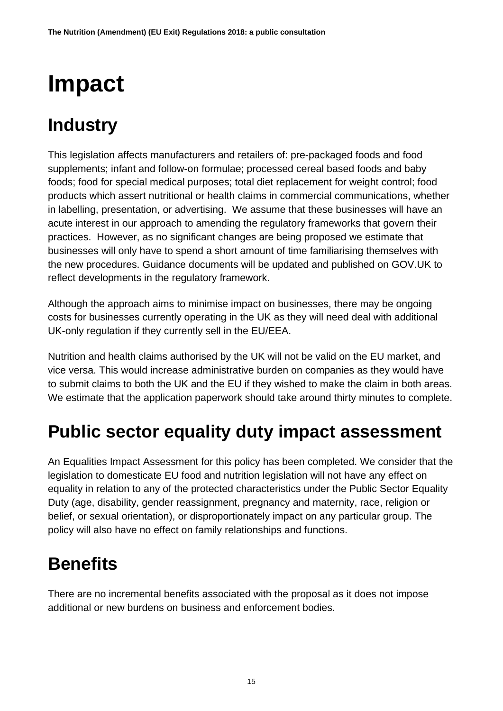## <span id="page-14-0"></span>**Impact**

#### <span id="page-14-1"></span>**Industry**

This legislation affects manufacturers and retailers of: pre-packaged foods and food supplements; infant and follow-on formulae; processed cereal based foods and baby foods; food for special medical purposes; total diet replacement for weight control; food products which assert nutritional or health claims in commercial communications, whether in labelling, presentation, or advertising. We assume that these businesses will have an acute interest in our approach to amending the regulatory frameworks that govern their practices. However, as no significant changes are being proposed we estimate that businesses will only have to spend a short amount of time familiarising themselves with the new procedures. Guidance documents will be updated and published on GOV.UK to reflect developments in the regulatory framework.

Although the approach aims to minimise impact on businesses, there may be ongoing costs for businesses currently operating in the UK as they will need deal with additional UK-only regulation if they currently sell in the EU/EEA.

Nutrition and health claims authorised by the UK will not be valid on the EU market, and vice versa. This would increase administrative burden on companies as they would have to submit claims to both the UK and the EU if they wished to make the claim in both areas. We estimate that the application paperwork should take around thirty minutes to complete.

#### <span id="page-14-2"></span>**Public sector equality duty impact assessment**

An Equalities Impact Assessment for this policy has been completed. We consider that the legislation to domesticate EU food and nutrition legislation will not have any effect on equality in relation to any of the protected characteristics under the Public Sector Equality Duty (age, disability, gender reassignment, pregnancy and maternity, race, religion or belief, or sexual orientation), or disproportionately impact on any particular group. The policy will also have no effect on family relationships and functions.

#### <span id="page-14-3"></span>**Benefits**

There are no incremental benefits associated with the proposal as it does not impose additional or new burdens on business and enforcement bodies.